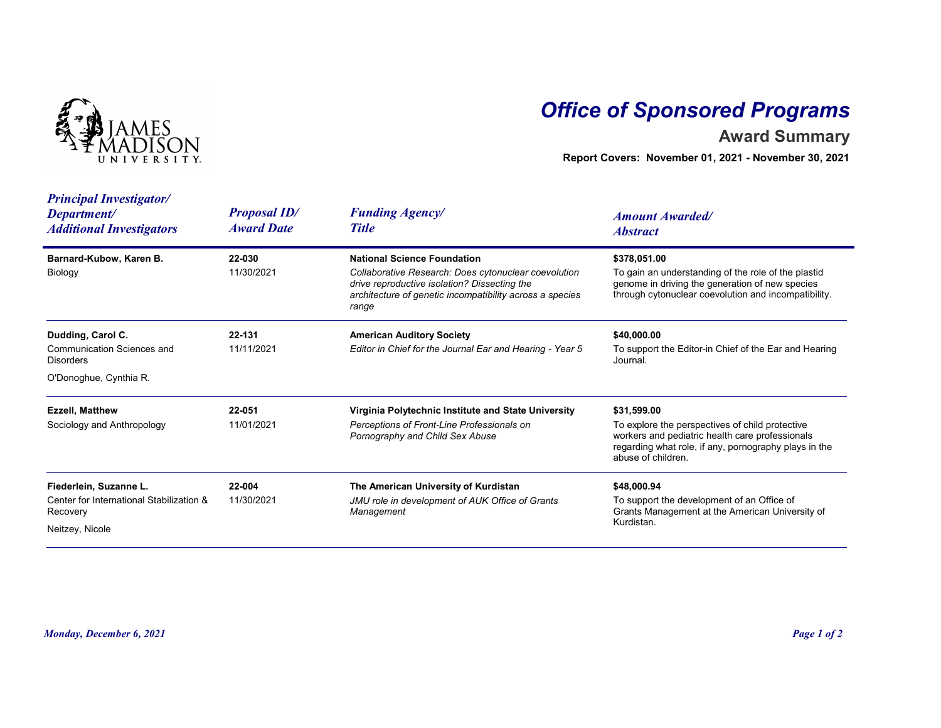

## Office of Sponsored Programs

## Award Summary

| <b>IVERSITY</b>                                                                                      |                                          | <b>Office of Sponsored Programs</b><br><b>Award Summary</b><br>Report Covers: November 01, 2021 - November 30, 2021                                                                                             |                                                                                                                                                                                                  |  |
|------------------------------------------------------------------------------------------------------|------------------------------------------|-----------------------------------------------------------------------------------------------------------------------------------------------------------------------------------------------------------------|--------------------------------------------------------------------------------------------------------------------------------------------------------------------------------------------------|--|
| <b>Principal Investigator/</b><br>Department/<br><b>Additional Investigators</b>                     | <b>Proposal ID/</b><br><b>Award Date</b> | <b>Funding Agency/</b><br><b>Title</b>                                                                                                                                                                          | <b>Amount Awarded/</b><br><b>Abstract</b>                                                                                                                                                        |  |
| Barnard-Kubow, Karen B.<br>Biology                                                                   | 22-030<br>11/30/2021                     | <b>National Science Foundation</b><br>Collaborative Research: Does cytonuclear coevolution<br>drive reproductive isolation? Dissecting the<br>architecture of genetic incompatibility across a species<br>range | \$378,051.00<br>To gain an understanding of the role of the plastid<br>genome in driving the generation of new species<br>through cytonuclear coevolution and incompatibility.                   |  |
| Dudding, Carol C.<br><b>Communication Sciences and</b><br><b>Disorders</b><br>O'Donoghue, Cynthia R. | 22-131<br>11/11/2021                     | <b>American Auditory Society</b><br>Editor in Chief for the Journal Ear and Hearing - Year 5                                                                                                                    | \$40,000.00<br>To support the Editor-in Chief of the Ear and Hearing<br>Journal.                                                                                                                 |  |
| <b>Ezzell, Matthew</b><br>Sociology and Anthropology                                                 | 22-051<br>11/01/2021                     | Virginia Polytechnic Institute and State University<br>Perceptions of Front-Line Professionals on<br>Pornography and Child Sex Abuse                                                                            | \$31.599.00<br>To explore the perspectives of child protective<br>workers and pediatric health care professionals<br>regarding what role, if any, pornography plays in the<br>abuse of children. |  |
| Fiederlein, Suzanne L.<br>Center for International Stabilization &<br>Recovery<br>Neitzey, Nicole    | 22-004<br>11/30/2021                     | The American University of Kurdistan<br>JMU role in development of AUK Office of Grants<br>Management                                                                                                           | \$48,000.94<br>To support the development of an Office of<br>Grants Management at the American University of<br>Kurdistan.                                                                       |  |